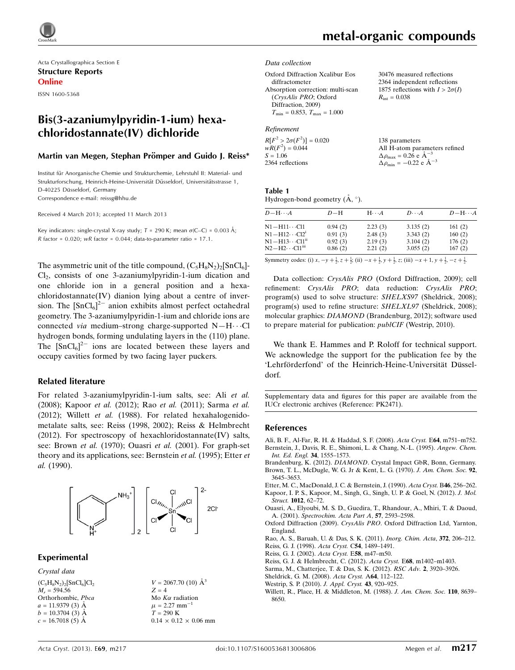

Acta Crystallographica Section E Structure Reports Online ISSN 1600-5368

# Bis(3-azaniumylpyridin-1-ium) hexachloridostannate(IV) dichloride

#### Martin van Megen, Stephan Prömper and Guido J. Reiss\*

Institut für Anorganische Chemie und Strukturchemie, Lehrstuhl II: Material- und Strukturforschung, Heinrich-Heine-Universität Düsseldorf, Universitätsstrasse 1, D-40225 Düsseldorf, Germany Correspondence e-mail: [reissg@hhu.de](https://scripts.iucr.org/cgi-bin/cr.cgi?rm=pdfbb&cnor=pk2471&bbid=BB16)

Received 4 March 2013; accepted 11 March 2013

Key indicators: single-crystal X-ray study;  $T = 290$  K; mean  $\sigma$ (C–C) = 0.003 Å; R factor =  $0.020$ ; wR factor =  $0.044$ ; data-to-parameter ratio =  $17.1$ .

The asymmetric unit of the title compound,  $(C_5H_8N_2)_2[SnCl_6]$ -Cl2, consists of one 3-azaniumylpyridin-1-ium dication and one chloride ion in a general position and a hexachloridostannate(IV) dianion lying about a centre of inversion. The  $\left[\text{SnCl}_6\right]^{\frac{2}{2}}$  anion exhibits almost perfect octahedral geometry. The 3-azaniumylpyridin-1-ium and chloride ions are connected via medium–strong charge-supported  $N-H\cdots$ Cl hydrogen bonds, forming undulating layers in the (110) plane. The  $\left[\text{SnCl}_6\right]^{2-}$  ions are located between these layers and occupy cavities formed by two facing layer puckers.

#### Related literature

For related 3-azaniumylpyridin-1-ium salts, see: Ali et al. (2008); Kapoor et al. (2012); Rao et al. (2011); Sarma et al. (2012); Willett et al. (1988). For related hexahalogenidometalate salts, see: Reiss (1998, 2002); Reiss & Helmbrecht (2012). For spectroscopy of hexachloridostannate $(IV)$  salts, see: Brown et al. (1970); Ouasri et al. (2001). For graph-set theory and its applications, see: Bernstein et al. (1995); Etter et al. (1990).



#### Experimental

Crystal data  $(C_5H_8N_2)_2$ [SnCl<sub>6</sub>]Cl<sub>2</sub>  $M = 594.56$ Orthorhombic, Pbca  $a = 11.9379(3)$  Å  $b = 10.3704$  (3) Å  $c = 16.7018(5)$  Å

 $V = 2067.70$  (10)  $\AA^3$  $Z = 4$ Mo $K\alpha$  radiation  $\mu$  = 2.27 mm<sup>-1</sup>  $T = 290 K$  $0.14\,\times\,0.12\,\times\,0.06$  mm  $R_{\text{int}} = 0.038$ 

30476 measured reflections 2364 independent reflections 1875 reflections with  $I > 2\sigma(I)$ 

#### Data collection

| Oxford Diffraction Xcalibur Eos                  |  |
|--------------------------------------------------|--|
| diffractometer                                   |  |
| Absorption correction: multi-scan                |  |
| (CrysAlis PRO; Oxford                            |  |
| Diffraction, 2009)                               |  |
| $T_{\text{min}} = 0.853, T_{\text{max}} = 1.000$ |  |

#### Refinement

| $R[F^2 > 2\sigma(F^2)] = 0.020$ | 138 parameters                                             |
|---------------------------------|------------------------------------------------------------|
| $wR(F^2) = 0.044$               | All H-atom parameters refined                              |
| $S = 1.06$                      | $\Delta \rho_{\text{max}} = 0.26 \text{ e A}^{-3}$         |
| 2364 reflections                | $\Delta \rho_{\rm min} = -0.22 \text{ e } \text{\AA}^{-3}$ |

| Table 1 |  |  |
|---------|--|--|
|         |  |  |

Hydrogen-bond geometry  $(A, \circ)$ .

| $D - H \cdots A$                   | $D-H$   | $H \cdots A$ | $D\cdots A$ | $D - H \cdots A$ |
|------------------------------------|---------|--------------|-------------|------------------|
| N1−H11…Cl1                         | 0.94(2) | 2.23(3)      | 3.135(2)    | 161(2)           |
| $N1 - H12 \cdots Cl2$ <sup>1</sup> | 0.91(3) | 2.48(3)      | 3.343(2)    | 160(2)           |
| N1−H13…Cl1"                        | 0.92(3) | 2.19(3)      | 3.104(2)    | 176(2)           |
| N2−H2…Cl1 <sup>iii</sup>           | 0.86(2) | 2.21(2)      | 3.055(2)    | 167(2)           |

Symmetry codes: (i)  $x, -y + \frac{1}{2}$ ,  $z + \frac{1}{2}$ ; (ii)  $-x + \frac{1}{2}$ ,  $y + \frac{1}{2}$ ,  $z$ ; (iii)  $-x + 1$ ,  $y + \frac{1}{2}$ ,  $-z + \frac{1}{2}$ .

Data collection: CrysAlis PRO (Oxford Diffraction, 2009); cell refinement: CrysAlis PRO; data reduction: CrysAlis PRO; program(s) used to solve structure: SHELXS97 (Sheldrick, 2008); program(s) used to refine structure: SHELXL97 (Sheldrick, 2008); molecular graphics: DIAMOND (Brandenburg, 2012); software used to prepare material for publication: publCIF (Westrip, 2010).

We thank E. Hammes and P. Roloff for technical support. We acknowledge the support for the publication fee by the 'Lehrförderfond' of the Heinrich-Heine-Universität Düsseldorf.

Supplementary data and figures for this paper are available from the IUCr electronic archives (Reference: PK2471).

#### References

- [Ali, B. F., Al-Far, R. H. & Haddad, S. F. \(2008\).](https://scripts.iucr.org/cgi-bin/cr.cgi?rm=pdfbb&cnor=pk2471&bbid=BB1) Acta Cryst. E64, m751–m752. [Bernstein, J., Davis, R. E., Shimoni, L. & Chang, N.-L. \(1995\).](https://scripts.iucr.org/cgi-bin/cr.cgi?rm=pdfbb&cnor=pk2471&bbid=BB2) Angew. Chem. [Int. Ed. Engl.](https://scripts.iucr.org/cgi-bin/cr.cgi?rm=pdfbb&cnor=pk2471&bbid=BB2) 34, 1555–1573.
- Brandenburg, K. (2012). DIAMOND[. Crystal Impact GbR, Bonn, Germany.](https://scripts.iucr.org/cgi-bin/cr.cgi?rm=pdfbb&cnor=pk2471&bbid=BB3) [Brown, T. L., McDugle, W. G. Jr & Kent, L. G. \(1970\).](https://scripts.iucr.org/cgi-bin/cr.cgi?rm=pdfbb&cnor=pk2471&bbid=BB4) J. Am. Chem. Soc. 92, [3645–3653.](https://scripts.iucr.org/cgi-bin/cr.cgi?rm=pdfbb&cnor=pk2471&bbid=BB4)
- [Etter, M. C., MacDonald, J. C. & Bernstein, J. \(1990\).](https://scripts.iucr.org/cgi-bin/cr.cgi?rm=pdfbb&cnor=pk2471&bbid=BB5) Acta Cryst. B46, 256–262.
- [Kapoor, I. P. S., Kapoor, M., Singh, G., Singh, U. P. & Goel, N. \(2012\).](https://scripts.iucr.org/cgi-bin/cr.cgi?rm=pdfbb&cnor=pk2471&bbid=BB6) J. Mol. Struct. 1012[, 62–72.](https://scripts.iucr.org/cgi-bin/cr.cgi?rm=pdfbb&cnor=pk2471&bbid=BB6)
- [Ouasri, A., Elyoubi, M. S. D., Guedira, T., Rhandour, A., Mhiri, T. & Daoud,](https://scripts.iucr.org/cgi-bin/cr.cgi?rm=pdfbb&cnor=pk2471&bbid=BB7) A. (2001). [Spectrochim. Acta Part A](https://scripts.iucr.org/cgi-bin/cr.cgi?rm=pdfbb&cnor=pk2471&bbid=BB7), 57, 2593–2598.
- Oxford Diffraction (2009). CrysAlis PRO[. Oxford Diffraction Ltd, Yarnton,](https://scripts.iucr.org/cgi-bin/cr.cgi?rm=pdfbb&cnor=pk2471&bbid=BB8) [England.](https://scripts.iucr.org/cgi-bin/cr.cgi?rm=pdfbb&cnor=pk2471&bbid=BB8)

[Rao, A. S., Baruah, U. & Das, S. K. \(2011\).](https://scripts.iucr.org/cgi-bin/cr.cgi?rm=pdfbb&cnor=pk2471&bbid=BB9) Inorg. Chim. Acta, 372, 206–212.

- [Reiss, G. J. \(1998\).](https://scripts.iucr.org/cgi-bin/cr.cgi?rm=pdfbb&cnor=pk2471&bbid=BB10) Acta Cryst. C54, 1489–1491.
- [Reiss, G. J. \(2002\).](https://scripts.iucr.org/cgi-bin/cr.cgi?rm=pdfbb&cnor=pk2471&bbid=BB11) Acta Cryst. E58, m47–m50.
- [Reiss, G. J. & Helmbrecht, C. \(2012\).](https://scripts.iucr.org/cgi-bin/cr.cgi?rm=pdfbb&cnor=pk2471&bbid=BB12) Acta Cryst. E68, m1402–m1403.
- [Sarma, M., Chatterjee, T. & Das, S. K. \(2012\).](https://scripts.iucr.org/cgi-bin/cr.cgi?rm=pdfbb&cnor=pk2471&bbid=BB13) RSC Adv. 2, 3920–3926.
- [Sheldrick, G. M. \(2008\).](https://scripts.iucr.org/cgi-bin/cr.cgi?rm=pdfbb&cnor=pk2471&bbid=BB14) Acta Cryst. A64, 112–122.
- [Westrip, S. P. \(2010\).](https://scripts.iucr.org/cgi-bin/cr.cgi?rm=pdfbb&cnor=pk2471&bbid=BB15) J. Appl. Cryst. 43, 920–925.
- [Willett, R., Place, H. & Middleton, M. \(1988\).](https://scripts.iucr.org/cgi-bin/cr.cgi?rm=pdfbb&cnor=pk2471&bbid=BB16) J. Am. Chem. Soc. 110, 8639-[8650.](https://scripts.iucr.org/cgi-bin/cr.cgi?rm=pdfbb&cnor=pk2471&bbid=BB16)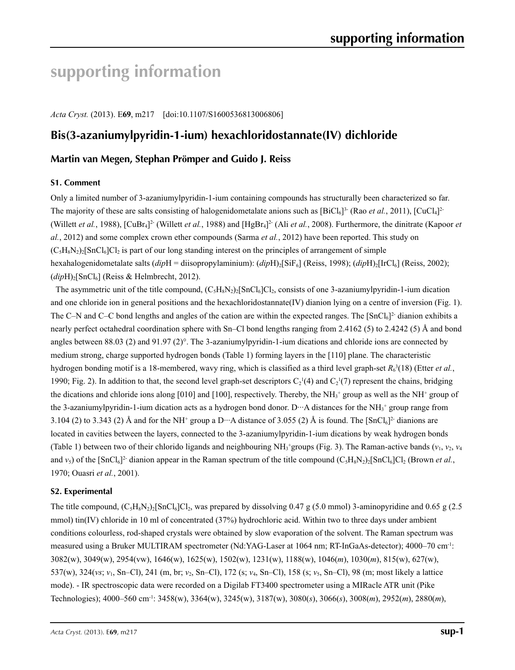# **supporting information**

*Acta Cryst.* (2013). E**69**, m217 [doi:10.1107/S1600536813006806]

# **Bis(3-azaniumylpyridin-1-ium) hexachloridostannate(IV) dichloride**

## **Martin van Megen, Stephan Prömper and Guido J. Reiss**

## **S1. Comment**

Only a limited number of 3-azaniumylpyridin-1-ium containing compounds has structurally been characterized so far. The majority of these are salts consisting of halogenidometalate anions such as  $[BiCl_6]^3$ <sup>-</sup> (Rao *et al.*, 2011),  $[CuCl_4]^2$ -(Willett *et al.*, 1988), [CuBr<sub>4</sub>]<sup>2</sup> (Willett *et al.*, 1988) and [HgBr<sub>4</sub>]<sup>2</sup> (Ali *et al.*, 2008). Furthermore, the dinitrate (Kapoor *et al.*, 2012) and some complex crown ether compounds (Sarma *et al.*, 2012) have been reported. This study on  $(C_5H_8N_2)_2$ [SnCl<sub>6</sub>]Cl<sub>2</sub> is part of our long standing interest on the principles of arrangement of simple hexahalogenidometalate salts (*dip*H = diisopropylaminium): (*dip*H)<sub>2</sub>[SiF<sub>6</sub>] (Reiss, 1998); (*dipH*)<sub>2</sub>[IrCl<sub>6</sub>] (Reiss, 2002); (*dip*H)2[SnCl6] (Reiss & Helmbrecht, 2012).

The asymmetric unit of the title compound,  $(C_5H_8N_2)_2$ [SnCl<sub>6</sub>]Cl<sub>2</sub>, consists of one 3-azaniumylpyridin-1-ium dication and one chloride ion in general positions and the hexachloridostannate $(V)$  dianion lying on a centre of inversion (Fig. 1). The C–N and C–C bond lengths and angles of the cation are within the expected ranges. The  $[SnCl_6]^2$ -dianion exhibits a nearly perfect octahedral coordination sphere with Sn–Cl bond lengths ranging from 2.4162 (5) to 2.4242 (5) Å and bond angles between 88.03 (2) and 91.97 (2)°. The 3-azaniumylpyridin-1-ium dications and chloride ions are connected by medium strong, charge supported hydrogen bonds (Table 1) forming layers in the [110] plane. The characteristic hydrogen bonding motif is a 18-membered, wavy ring, which is classified as a third level graph-set  $R_6^3(18)$  (Etter *et al.*, 1990; Fig. 2). In addition to that, the second level graph-set descriptors  $C_2^1(4)$  and  $C_2^1(7)$  represent the chains, bridging the dications and chloride ions along [010] and [100], respectively. Thereby, the  $NH<sub>3</sub>^+$  group as well as the NH<sup>+</sup> group of the 3-azaniumylpyridin-1-ium dication acts as a hydrogen bond donor. D<sup>.</sup>··A distances for the NH<sub>3</sub><sup>+</sup> group range from 3.104 (2) to 3.343 (2) Å and for the NH<sup>+</sup> group a D···A distance of 3.055 (2) Å is found. The  $[\text{SnCl}_6]^2$  dianions are located in cavities between the layers, connected to the 3-azaniumylpyridin-1-ium dications by weak hydrogen bonds (Table 1) between two of their chlorido ligands and neighbouring NH<sub>3</sub><sup>+</sup>groups (Fig. 3). The Raman-active bands ( $v_1$ ,  $v_2$ ,  $v_4$ and  $v_5$ ) of the  $[SnCl_6]^2$ - dianion appear in the Raman spectrum of the title compound  $(C_5H_8N_2)_2[SnCl_6]Cl_2$  (Brown *et al.*, 1970; Ouasri *et al.*, 2001).

#### **S2. Experimental**

The title compound,  $(C_5H_8N_2)_2$ [SnCl<sub>6</sub>]Cl<sub>2</sub>, was prepared by dissolving 0.47 g (5.0 mmol) 3-aminopyridine and 0.65 g (2.5 mmol) tin(IV) chloride in 10 ml of concentrated (37%) hydrochloric acid. Within two to three days under ambient conditions colourless, rod-shaped crystals were obtained by slow evaporation of the solvent. The Raman spectrum was measured using a Bruker MULTIRAM spectrometer (Nd:YAG-Laser at 1064 nm; RT-InGaAs-detector); 4000-70 cm<sup>-1</sup>: 3082(w), 3049(w), 2954(vw), 1646(w), 1625(w), 1502(w), 1231(w), 1188(w), 1046(*m*), 1030(*m*), 815(w), 627(w), 537(w), 324(*vs*; *ν*1, Sn–Cl), 241 (m, br; *ν*2, Sn–Cl), 172 (s; *ν*4, Sn–Cl), 158 (s; *ν*5, Sn–Cl), 98 (m; most likely a lattice mode). - IR spectroscopic data were recorded on a Digilab FT3400 spectrometer using a MIRacle ATR unit (Pike Technologies); 4000–560 cm-1: 3458(w), 3364(w), 3245(w), 3187(w), 3080(*s*), 3066(*s*), 3008(*m*), 2952(*m*), 2880(*m*),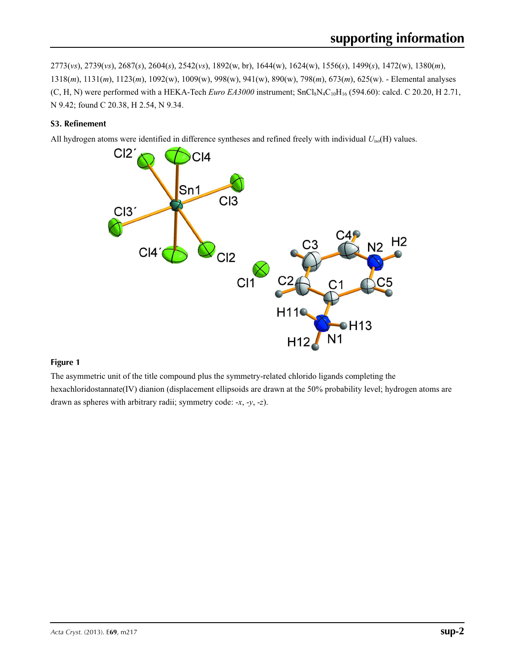2773(*vs*), 2739(*vs*), 2687(*s*), 2604(*s*), 2542(*vs*), 1892(w, br), 1644(w), 1624(w), 1556(*s*), 1499(*s*), 1472(w), 1380(*m*), 1318(*m*), 1131(*m*), 1123(*m*), 1092(w), 1009(w), 998(w), 941(w), 890(w), 798(*m*), 673(*m*), 625(w). - Elemental analyses  $(C, H, N)$  were performed with a HEKA-Tech *Euro EA3000* instrument;  $SnCl_8N_4C_{10}H_{16}$  (594.60): calcd. C 20.20, H 2.71, N 9.42; found C 20.38, H 2.54, N 9.34.

## **S3. Refinement**

All hydrogen atoms were identified in difference syntheses and refined freely with individual *U*iso(H) values.



## **Figure 1**

The asymmetric unit of the title compound plus the symmetry-related chlorido ligands completing the hexachloridostannate(IV) dianion (displacement ellipsoids are drawn at the 50% probability level; hydrogen atoms are drawn as spheres with arbitrary radii; symmetry code: -*x*, -*y*, -*z*).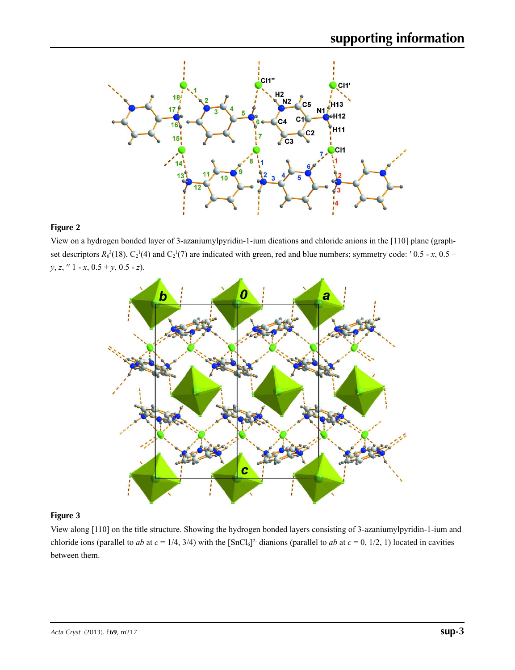

## **Figure 2**

View on a hydrogen bonded layer of 3-azaniumylpyridin-1-ium dications and chloride anions in the [110] plane (graphset descriptors  $R_0^3(18)$ ,  $C_2^1(4)$  and  $C_2^1(7)$  are indicated with green, red and blue numbers; symmetry code: '0.5 - *x*, 0.5 + *y*, *z*, ′′ 1 - *x*, 0.5 + *y*, 0.5 - *z*).



## **Figure 3**

View along [110] on the title structure. Showing the hydrogen bonded layers consisting of 3-azaniumylpyridin-1-ium and chloride ions (parallel to *ab* at  $c = 1/4$ , 3/4) with the [SnCl<sub>6</sub>]<sup>2</sup> dianions (parallel to *ab* at  $c = 0$ , 1/2, 1) located in cavities between them.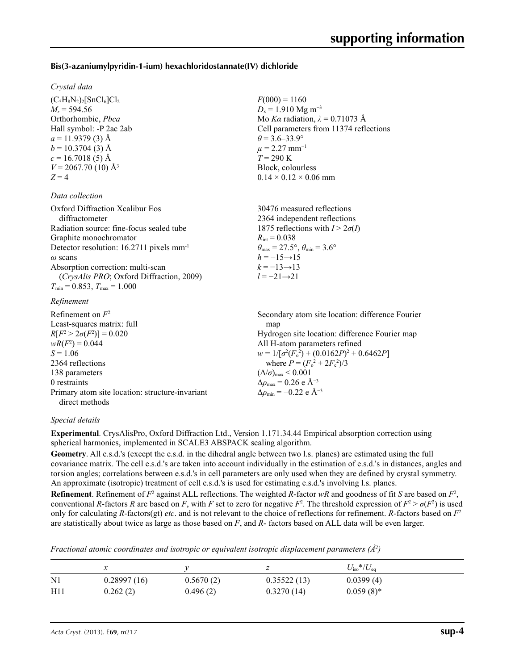## **Bis(3-azaniumylpyridin-1-ium) hexachloridostannate(IV) dichloride**

#### *Crystal data*

 $(C_5H_8N_2)_2$ [SnCl<sub>6</sub>]Cl<sub>2</sub>  $M_r = 594.56$ Orthorhombic, *Pbca* Hall symbol: -P 2ac 2ab  $a = 11.9379(3)$  Å  $b = 10.3704(3)$  Å  $c = 16.7018(5)$  Å  $V = 2067.70(10)$  Å<sup>3</sup>  $Z = 4$ 

#### *Data collection*

| Oxford Diffraction Xcalibur Eos<br>diffractometer    | 30476 measured reflections<br>2364 independent reflections              |
|------------------------------------------------------|-------------------------------------------------------------------------|
| Radiation source: fine-focus sealed tube             | 1875 reflections with $I > 2\sigma(I)$                                  |
| Graphite monochromator                               | $R_{\rm int} = 0.038$                                                   |
| Detector resolution: 16.2711 pixels mm <sup>-1</sup> | $\theta_{\text{max}} = 27.5^{\circ}, \theta_{\text{min}} = 3.6^{\circ}$ |
| $\omega$ scans                                       | $h = -15 \rightarrow 15$                                                |
| Absorption correction: multi-scan                    | $k = -13 \rightarrow 13$                                                |
| (CrysAlis PRO; Oxford Diffraction, 2009)             | $l = -21 \rightarrow 21$                                                |
| $T_{\min}$ = 0.853, $T_{\max}$ = 1.000               |                                                                         |
| Refinement                                           |                                                                         |

 $F(000) = 1160$  $D_x = 1.910$  Mg m<sup>-3</sup>

 $\theta$  = 3.6–33.9°  $\mu$  = 2.27 mm<sup>-1</sup>  $T = 290 K$ Block, colourless  $0.14 \times 0.12 \times 0.06$  mm

man

Mo *Kα* radiation, *λ* = 0.71073 Å Cell parameters from 11374 reflections

Secondary atom site location: difference Fourier

#### Refinement on *F*<sup>2</sup> Least-squares matrix: full *R*[*F*<sup>2</sup>  $> 2\sigma(F^2)$  $)$ ] = 0.020 *wR*(*F*<sup>2</sup>

| $R[F^2 > 2\sigma(F^2)] = 0.020$                 | Hydrogen site location: difference Fourier map    |
|-------------------------------------------------|---------------------------------------------------|
| $wR(F^2) = 0.044$                               | All H-atom parameters refined                     |
| $S = 1.06$                                      | $w = 1/[\sigma^2(F_0^2) + (0.0162P)^2 + 0.6462P]$ |
| 2364 reflections                                | where $P = (F_o^2 + 2F_c^2)/3$                    |
| 138 parameters                                  | $(\Delta/\sigma)_{\text{max}}$ < 0.001            |
| 0 restraints                                    | $\Delta\rho_{\rm max}$ = 0.26 e Å <sup>-3</sup>   |
| Primary atom site location: structure-invariant | $\Delta\rho_{\rm min} = -0.22$ e Å <sup>-3</sup>  |
| direct methods                                  |                                                   |

#### *Special details*

**Experimental**. CrysAlisPro, Oxford Diffraction Ltd., Version 1.171.34.44 Empirical absorption correction using spherical harmonics, implemented in SCALE3 ABSPACK scaling algorithm.

**Geometry**. All e.s.d.'s (except the e.s.d. in the dihedral angle between two l.s. planes) are estimated using the full covariance matrix. The cell e.s.d.'s are taken into account individually in the estimation of e.s.d.'s in distances, angles and torsion angles; correlations between e.s.d.'s in cell parameters are only used when they are defined by crystal symmetry. An approximate (isotropic) treatment of cell e.s.d.'s is used for estimating e.s.d.'s involving l.s. planes.

**Refinement**. Refinement of  $F^2$  against ALL reflections. The weighted *R*-factor  $wR$  and goodness of fit *S* are based on  $F^2$ , conventional *R*-factors *R* are based on *F*, with *F* set to zero for negative  $F^2$ . The threshold expression of  $F^2 > \sigma(F^2)$  is used only for calculating *R*-factors(gt) *etc*. and is not relevant to the choice of reflections for refinement. *R*-factors based on *F*<sup>2</sup> are statistically about twice as large as those based on *F*, and *R*- factors based on ALL data will be even larger.

*Fractional atomic coordinates and isotropic or equivalent isotropic displacement parameters (Å<sup>2</sup>)* 

|          |             |           |             | $U_{\rm iso}$ */ $U_{\rm eq}$ |  |
|----------|-------------|-----------|-------------|-------------------------------|--|
| $\rm N1$ | 0.28997(16) | 0.5670(2) | 0.35522(13) | 0.0399(4)                     |  |
| H11      | 0.262(2)    | 0.496(2)  | 0.3270(14)  | $0.059(8)$ *                  |  |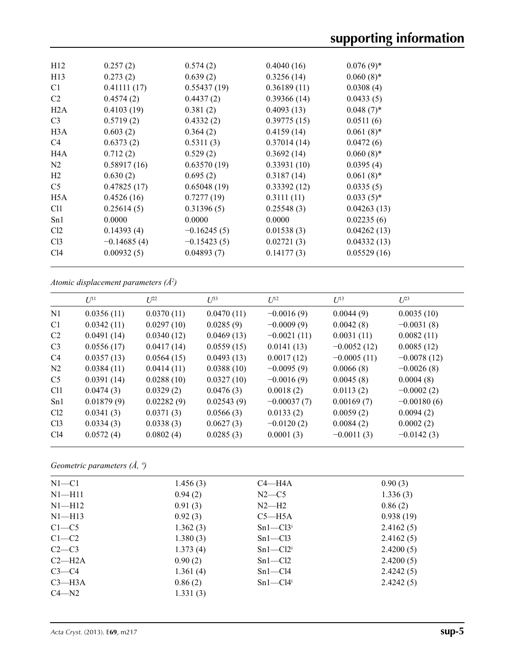| H12              | 0.257(2)      | 0.574(2)      | 0.4040(16)  | $0.076(9)$ * |
|------------------|---------------|---------------|-------------|--------------|
| H13              | 0.273(2)      | 0.639(2)      | 0.3256(14)  | $0.060(8)$ * |
| C <sub>1</sub>   | 0.41111(17)   | 0.55437(19)   | 0.36189(11) | 0.0308(4)    |
| C <sub>2</sub>   | 0.4574(2)     | 0.4437(2)     | 0.39366(14) | 0.0433(5)    |
| H2A              | 0.4103(19)    | 0.381(2)      | 0.4093(13)  | $0.048(7)$ * |
| C <sub>3</sub>   | 0.5719(2)     | 0.4332(2)     | 0.39775(15) | 0.0511(6)    |
| H3A              | 0.603(2)      | 0.364(2)      | 0.4159(14)  | $0.061(8)$ * |
| C4               | 0.6373(2)     | 0.5311(3)     | 0.37014(14) | 0.0472(6)    |
| H <sub>4</sub> A | 0.712(2)      | 0.529(2)      | 0.3692(14)  | $0.060(8)$ * |
| N <sub>2</sub>   | 0.58917(16)   | 0.63570(19)   | 0.33931(10) | 0.0395(4)    |
| H <sub>2</sub>   | 0.630(2)      | 0.695(2)      | 0.3187(14)  | $0.061(8)$ * |
| C <sub>5</sub>   | 0.47825(17)   | 0.65048(19)   | 0.33392(12) | 0.0335(5)    |
| H5A              | 0.4526(16)    | 0.7277(19)    | 0.3111(11)  | $0.033(5)$ * |
| C <sub>11</sub>  | 0.25614(5)    | 0.31396(5)    | 0.25548(3)  | 0.04263(13)  |
| Sn1              | 0.0000        | 0.0000        | 0.0000      | 0.02235(6)   |
| Cl <sub>2</sub>  | 0.14393(4)    | $-0.16245(5)$ | 0.01538(3)  | 0.04262(13)  |
| Cl <sub>3</sub>  | $-0.14685(4)$ | $-0.15423(5)$ | 0.02721(3)  | 0.04332(13)  |
| Cl4              | 0.00932(5)    | 0.04893(7)    | 0.14177(3)  | 0.05529(16)  |
|                  |               |               |             |              |

*Atomic displacement parameters (Å2 )*

|                 | $U^{11}$   | $L^{22}$   | $U^{33}$   | $U^{12}$      | $U^{13}$      | $U^{23}$      |
|-----------------|------------|------------|------------|---------------|---------------|---------------|
| N <sub>1</sub>  | 0.0356(11) | 0.0370(11) | 0.0470(11) | $-0.0016(9)$  | 0.0044(9)     | 0.0035(10)    |
| C <sub>1</sub>  | 0.0342(11) | 0.0297(10) | 0.0285(9)  | $-0.0009(9)$  | 0.0042(8)     | $-0.0031(8)$  |
| C <sub>2</sub>  | 0.0491(14) | 0.0340(12) | 0.0469(13) | $-0.0021(11)$ | 0.0031(11)    | 0.0082(11)    |
| C <sub>3</sub>  | 0.0556(17) | 0.0417(14) | 0.0559(15) | 0.0141(13)    | $-0.0052(12)$ | 0.0085(12)    |
| C4              | 0.0357(13) | 0.0564(15) | 0.0493(13) | 0.0017(12)    | $-0.0005(11)$ | $-0.0078(12)$ |
| N <sub>2</sub>  | 0.0384(11) | 0.0414(11) | 0.0388(10) | $-0.0095(9)$  | 0.0066(8)     | $-0.0026(8)$  |
| C <sub>5</sub>  | 0.0391(14) | 0.0288(10) | 0.0327(10) | $-0.0016(9)$  | 0.0045(8)     | 0.0004(8)     |
| C <sub>11</sub> | 0.0474(3)  | 0.0329(2)  | 0.0476(3)  | 0.0018(2)     | 0.0113(2)     | $-0.0002(2)$  |
| Sn1             | 0.01879(9) | 0.02282(9) | 0.02543(9) | $-0.00037(7)$ | 0.00169(7)    | $-0.00180(6)$ |
| Cl2             | 0.0341(3)  | 0.0371(3)  | 0.0566(3)  | 0.0133(2)     | 0.0059(2)     | 0.0094(2)     |
| Cl <sub>3</sub> | 0.0334(3)  | 0.0338(3)  | 0.0627(3)  | $-0.0120(2)$  | 0.0084(2)     | 0.0002(2)     |
| C14             | 0.0572(4)  | 0.0802(4)  | 0.0285(3)  | 0.0001(3)     | $-0.0011(3)$  | $-0.0142(3)$  |
|                 |            |            |            |               |               |               |

*Geometric parameters (Å, º)*

| $N1 - C1$  | 1.456(3) | $C4 - H4A$ | 0.90(3)   |  |
|------------|----------|------------|-----------|--|
| $N1 - H11$ | 0.94(2)  | $N2-C5$    | 1.336(3)  |  |
| $N1 - H12$ | 0.91(3)  | $N2-H2$    | 0.86(2)   |  |
| $N1 - H13$ | 0.92(3)  | $C5 - H5A$ | 0.938(19) |  |
| $C1 - C5$  | 1.362(3) | $Sn1-C13i$ | 2.4162(5) |  |
| $C1-C2$    | 1.380(3) | $Sn1-C13$  | 2.4162(5) |  |
| $C2-C3$    | 1.373(4) | $Sn1-C12i$ | 2.4200(5) |  |
| $C2-H2A$   | 0.90(2)  | $Sn1-C12$  | 2.4200(5) |  |
| $C3-C4$    | 1.361(4) | $Sn1-C14$  | 2.4242(5) |  |
| $C3$ —H3A  | 0.86(2)  | $Sn1-C14i$ | 2.4242(5) |  |
| $C4 - N2$  | 1.331(3) |            |           |  |